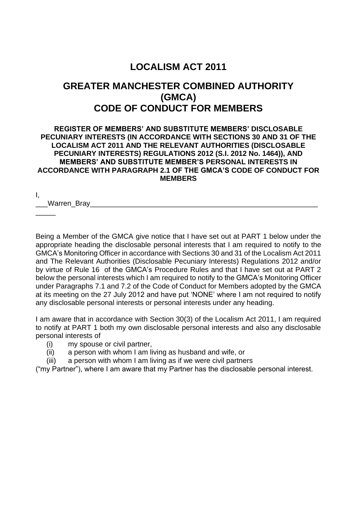# **LOCALISM ACT 2011**

# **GREATER MANCHESTER COMBINED AUTHORITY (GMCA) CODE OF CONDUCT FOR MEMBERS**

#### **REGISTER OF MEMBERS' AND SUBSTITUTE MEMBERS' DISCLOSABLE PECUNIARY INTERESTS (IN ACCORDANCE WITH SECTIONS 30 AND 31 OF THE LOCALISM ACT 2011 AND THE RELEVANT AUTHORITIES (DISCLOSABLE PECUNIARY INTERESTS) REGULATIONS 2012 (S.I. 2012 No. 1464)), AND MEMBERS' AND SUBSTITUTE MEMBER'S PERSONAL INTERESTS IN ACCORDANCE WITH PARAGRAPH 2.1 OF THE GMCA'S CODE OF CONDUCT FOR MEMBERS**

I,

 $\overline{\phantom{a}}$ 

\_\_\_Warren\_Bray\_\_\_\_\_\_\_\_\_\_\_\_\_\_\_\_\_\_\_\_\_\_\_\_\_\_\_\_\_\_\_\_\_\_\_\_\_\_\_\_\_\_\_\_\_\_\_\_\_\_\_\_\_\_\_\_\_

Being a Member of the GMCA give notice that I have set out at PART 1 below under the appropriate heading the disclosable personal interests that I am required to notify to the GMCA's Monitoring Officer in accordance with Sections 30 and 31 of the Localism Act 2011 and The Relevant Authorities (Disclosable Pecuniary Interests) Regulations 2012 and/or by virtue of Rule 16 of the GMCA's Procedure Rules and that I have set out at PART 2 below the personal interests which I am required to notify to the GMCA's Monitoring Officer under Paragraphs 7.1 and 7.2 of the Code of Conduct for Members adopted by the GMCA at its meeting on the 27 July 2012 and have put 'NONE' where I am not required to notify any disclosable personal interests or personal interests under any heading.

I am aware that in accordance with Section 30(3) of the Localism Act 2011, I am required to notify at PART 1 both my own disclosable personal interests and also any disclosable personal interests of

- (i) my spouse or civil partner,
- (ii) a person with whom I am living as husband and wife, or
- (iii) a person with whom I am living as if we were civil partners

("my Partner"), where I am aware that my Partner has the disclosable personal interest.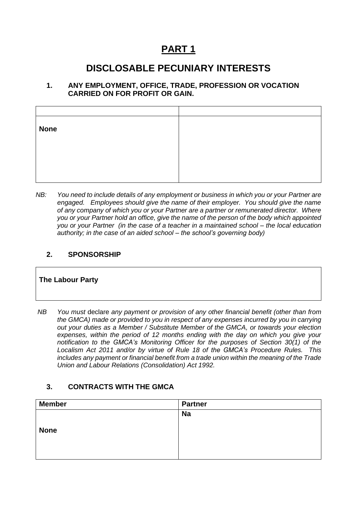# **PART 1**

# **DISCLOSABLE PECUNIARY INTERESTS**

#### **1. ANY EMPLOYMENT, OFFICE, TRADE, PROFESSION OR VOCATION CARRIED ON FOR PROFIT OR GAIN.**

| <b>None</b> |  |
|-------------|--|
|             |  |
|             |  |
|             |  |

*NB: You need to include details of any employment or business in which you or your Partner are engaged. Employees should give the name of their employer. You should give the name of any company of which you or your Partner are a partner or remunerated director. Where you or your Partner hold an office, give the name of the person of the body which appointed you or your Partner (in the case of a teacher in a maintained school – the local education authority; in the case of an aided school – the school's governing body)*

### **2. SPONSORSHIP**

### **The Labour Party**

| NB | You must declare any payment or provision of any other financial benefit (other than from    |
|----|----------------------------------------------------------------------------------------------|
|    | the GMCA) made or provided to you in respect of any expenses incurred by you in carrying     |
|    | out your duties as a Member / Substitute Member of the GMCA, or towards your election        |
|    | expenses, within the period of 12 months ending with the day on which you give your          |
|    | notification to the GMCA's Monitoring Officer for the purposes of Section 30(1) of the       |
|    | Localism Act 2011 and/or by virtue of Rule 18 of the GMCA's Procedure Rules. This            |
|    | includes any payment or financial benefit from a trade union within the meaning of the Trade |
|    | Union and Labour Relations (Consolidation) Act 1992.                                         |

### **3. CONTRACTS WITH THE GMCA**

| <b>Member</b> | <b>Partner</b> |
|---------------|----------------|
|               | <b>Na</b>      |
|               |                |
| <b>None</b>   |                |
|               |                |
|               |                |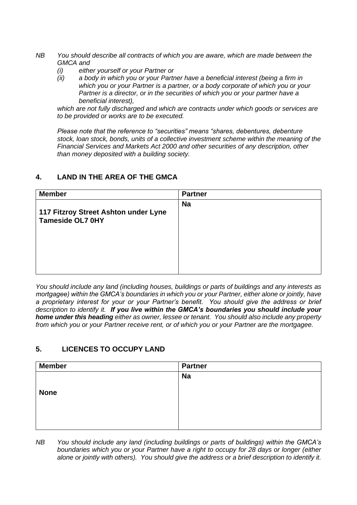- *NB You should describe all contracts of which you are aware, which are made between the GMCA and* 
	- *(i) either yourself or your Partner or*
	- *(ii) a body in which you or your Partner have a beneficial interest (being a firm in which you or your Partner is a partner, or a body corporate of which you or your Partner is a director, or in the securities of which you or your partner have a beneficial interest),*

*which are not fully discharged and which are contracts under which goods or services are to be provided or works are to be executed.*

*Please note that the reference to "securities" means "shares, debentures, debenture stock, loan stock, bonds, units of a collective investment scheme within the meaning of the Financial Services and Markets Act 2000 and other securities of any description, other than money deposited with a building society.*

#### **4. LAND IN THE AREA OF THE GMCA**

| <b>Member</b>                                                   | <b>Partner</b> |
|-----------------------------------------------------------------|----------------|
| 117 Fitzroy Street Ashton under Lyne<br><b>Tameside OL7 0HY</b> | <b>Na</b>      |
|                                                                 |                |

*You should include any land (including houses, buildings or parts of buildings and any interests as mortgagee) within the GMCA's boundaries in which you or your Partner, either alone or jointly, have a proprietary interest for your or your Partner's benefit. You should give the address or brief description to identify it. If you live within the GMCA's boundaries you should include your home under this heading either as owner, lessee or tenant. You should also include any property from which you or your Partner receive rent, or of which you or your Partner are the mortgagee.*

### **5. LICENCES TO OCCUPY LAND**

| <b>Member</b> | <b>Partner</b> |
|---------------|----------------|
|               | <b>Na</b>      |
|               |                |
| <b>None</b>   |                |
|               |                |
|               |                |
|               |                |

*NB You should include any land (including buildings or parts of buildings) within the GMCA's boundaries which you or your Partner have a right to occupy for 28 days or longer (either alone or jointly with others). You should give the address or a brief description to identify it.*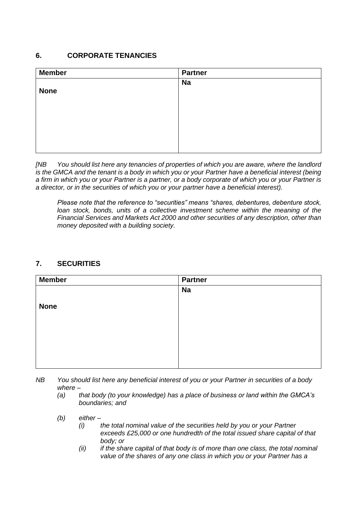### **6. CORPORATE TENANCIES**

| <b>Member</b> | <b>Partner</b> |
|---------------|----------------|
|               | <b>Na</b>      |
| <b>None</b>   |                |
|               |                |
|               |                |
|               |                |
|               |                |
|               |                |
|               |                |

*[NB You should list here any tenancies of properties of which you are aware, where the landlord is the GMCA and the tenant is a body in which you or your Partner have a beneficial interest (being a firm in which you or your Partner is a partner, or a body corporate of which you or your Partner is a director, or in the securities of which you or your partner have a beneficial interest).* 

*Please note that the reference to "securities" means "shares, debentures, debenture stock, loan stock, bonds, units of a collective investment scheme within the meaning of the Financial Services and Markets Act 2000 and other securities of any description, other than money deposited with a building society.*

### **7. SECURITIES**

| <b>Member</b> | <b>Partner</b> |
|---------------|----------------|
|               | <b>Na</b>      |
|               |                |
| <b>None</b>   |                |
|               |                |
|               |                |
|               |                |
|               |                |
|               |                |
|               |                |

- *NB You should list here any beneficial interest of you or your Partner in securities of a body where –*
	- *(a) that body (to your knowledge) has a place of business or land within the GMCA's boundaries; and*
	- *(b) either –*
		- *(i) the total nominal value of the securities held by you or your Partner exceeds £25,000 or one hundredth of the total issued share capital of that body; or*
		- *(ii) if the share capital of that body is of more than one class, the total nominal value of the shares of any one class in which you or your Partner has a*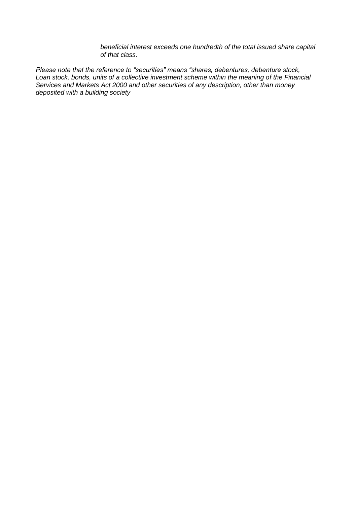*beneficial interest exceeds one hundredth of the total issued share capital of that class.*

*Please note that the reference to "securities" means "shares, debentures, debenture stock, Loan stock, bonds, units of a collective investment scheme within the meaning of the Financial Services and Markets Act 2000 and other securities of any description, other than money deposited with a building society*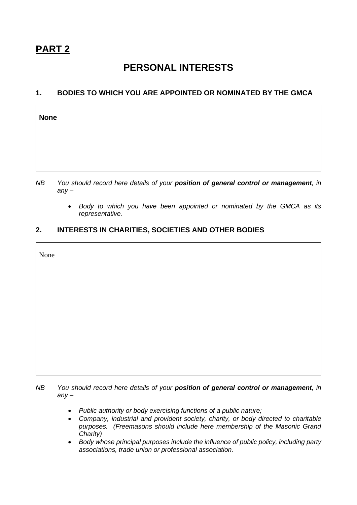$\mathsf{r}$ 

# **PERSONAL INTERESTS**

### **1. BODIES TO WHICH YOU ARE APPOINTED OR NOMINATED BY THE GMCA**

| <b>None</b> |  |  |
|-------------|--|--|
|             |  |  |
|             |  |  |
|             |  |  |

- *NB You should record here details of your position of general control or management, in any –*
	- *Body to which you have been appointed or nominated by the GMCA as its representative.*

## **2. INTERESTS IN CHARITIES, SOCIETIES AND OTHER BODIES**

| None |  |
|------|--|
|      |  |
|      |  |
|      |  |
|      |  |
|      |  |
|      |  |

*NB You should record here details of your position of general control or management, in any –*

- *Public authority or body exercising functions of a public nature;*
- *Company, industrial and provident society, charity, or body directed to charitable purposes. (Freemasons should include here membership of the Masonic Grand Charity)*
- *Body whose principal purposes include the influence of public policy, including party associations, trade union or professional association.*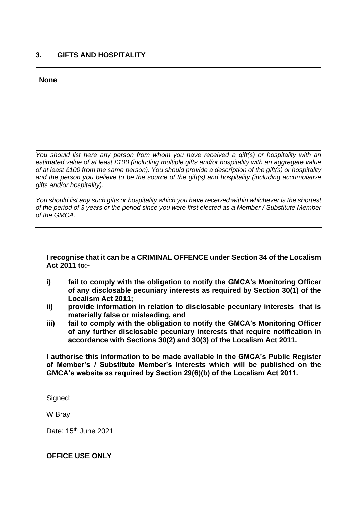### **3. GIFTS AND HOSPITALITY**

**None**

*You should list here any person from whom you have received a gift(s) or hospitality with an estimated value of at least £100 (including multiple gifts and/or hospitality with an aggregate value of at least £100 from the same person). You should provide a description of the gift(s) or hospitality and the person you believe to be the source of the gift(s) and hospitality (including accumulative gifts and/or hospitality).*

*You should list any such gifts or hospitality which you have received within whichever is the shortest of the period of 3 years or the period since you were first elected as a Member / Substitute Member of the GMCA.*

#### **I recognise that it can be a CRIMINAL OFFENCE under Section 34 of the Localism Act 2011 to:-**

- **i) fail to comply with the obligation to notify the GMCA's Monitoring Officer of any disclosable pecuniary interests as required by Section 30(1) of the Localism Act 2011;**
- **ii) provide information in relation to disclosable pecuniary interests that is materially false or misleading, and**
- **iii) fail to comply with the obligation to notify the GMCA's Monitoring Officer of any further disclosable pecuniary interests that require notification in accordance with Sections 30(2) and 30(3) of the Localism Act 2011.**

**I authorise this information to be made available in the GMCA's Public Register of Member's / Substitute Member's Interests which will be published on the GMCA's website as required by Section 29(6)(b) of the Localism Act 2011.** 

Signed:

W Bray

Date: 15<sup>th</sup> June 2021

#### **OFFICE USE ONLY**